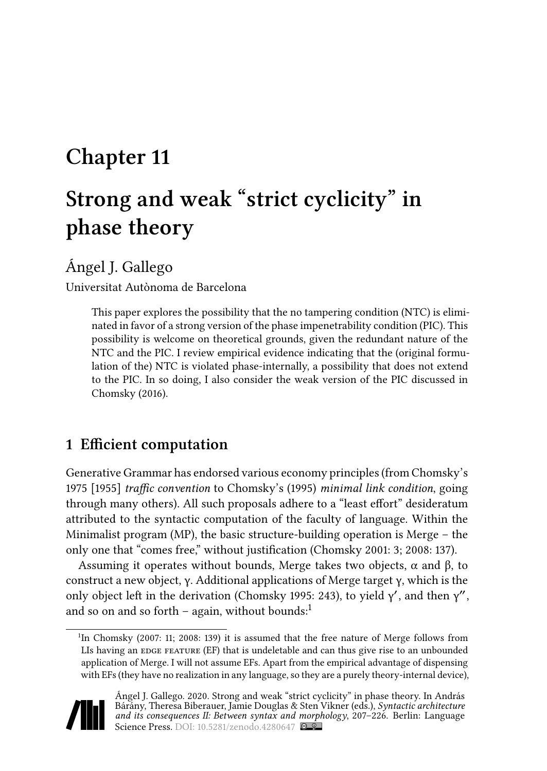## **Chapter 11**

# **Strong and weak "strict cyclicity" in phase theory**

Ángel J. Gallego

Universitat Autònoma de Barcelona

This paper explores the possibility that the no tampering condition (NTC) is eliminated in favor of a strong version of the phase impenetrability condition (PIC). This possibility is welcome on theoretical grounds, given the redundant nature of the NTC and the PIC. I review empirical evidence indicating that the (original formulation of the) NTC is violated phase-internally, a possibility that does not extend to the PIC. In so doing, I also consider the weak version of the PIC discussed in [Chomsky \(2016\).](#page-18-0)

#### **1 Efficient computation**

Generative Grammar has endorsed various economy principles (from [Chomsky](#page-17-0)'s [1975 \[1955\]](#page-17-0) *traffic convention* to [Chomsky'](#page-17-1)s [\(1995\)](#page-17-1) *minimal link condition*, going through many others). All such proposals adhere to a "least effort" desideratum attributed to the syntactic computation of the faculty of language. Within the Minimalist program (MP), the basic structure-building operation is Merge – the only one that "comes free," without justification([Chomsky 2001:](#page-17-2) 3; [2008](#page-17-3): 137).

Assuming it operates without bounds, Merge takes two objects,  $\alpha$  and  $\beta$ , to construct a new object, γ. Additional applications of Merge target γ, which is the onlyobject left in the derivation ([Chomsky 1995:](#page-17-1) 243), to yield  $\gamma'$ , and then  $\gamma''$ , and so on and so forth – again, without bounds: $<sup>1</sup>$ </sup>

<sup>&</sup>lt;sup>1</sup>In [Chomsky \(2007](#page-17-4): 11; [2008:](#page-17-3) 139) it is assumed that the free nature of Merge follows from LIs having an EDGE FEATURE (EF) that is undeletable and can thus give rise to an unbounded application of Merge. I will not assume EFs. Apart from the empirical advantage of dispensing with EFs (they have no realization in any language, so they are a purely theory-internal device),



Ángel J. Gallego. 2020. Strong and weak "strict cyclicity" in phase theory. In András Bárány, Theresa Biberauer, Jamie Douglas & Sten Vikner (eds.), *Syntactic architecture and its consequences II: Between syntax and morphology*, 207–226. Berlin: Language Science Press. DOI: [10.5281/zenodo.4280647](https://doi.org/10.5281/zenodo.4280647)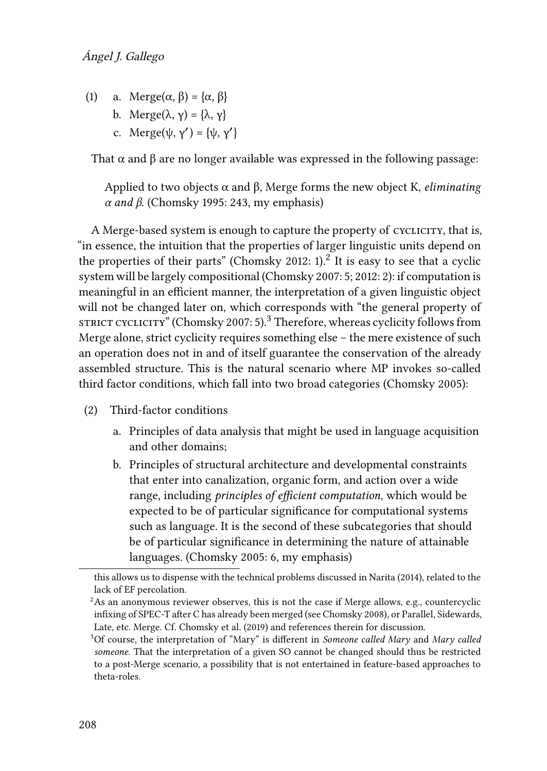- <span id="page-1-0"></span>(1) a. Merge $(\alpha, \beta) = {\alpha, \beta}$ 
	- b. Merge $(\lambda, \gamma) = {\lambda, \gamma}$
	- c. Merge( $\psi$ ,  $\gamma'$ ) = { $\psi$ ,  $\gamma'$ }

That  $\alpha$  and  $\beta$  are no longer available was expressed in the following passage:

Applied to two objects α and β, Merge forms the new object K, *eliminating α and β*. [\(Chomsky 1995:](#page-17-1) 243, my emphasis)

A Merge-based system is enough to capture the property of CYCLICITY, that is, "in essence, the intuition that the properties of larger linguistic units depend on theproperties of their parts" ([Chomsky 2012](#page-18-1): 1). $^2$  It is easy to see that a cyclic system will be largely compositional [\(Chomsky 2007](#page-17-4): 5; [2012:](#page-18-1) 2): if computation is meaningful in an efficient manner, the interpretation of a given linguistic object will not be changed later on, which corresponds with "the general property of strictcyclicity" ([Chomsky 2007:](#page-17-4) 5).<sup>3</sup> Therefore, whereas cyclicity follows from Merge alone, strict cyclicity requires something else – the mere existence of such an operation does not in and of itself guarantee the conservation of the already assembled structure. This is the natural scenario where MP invokes so-called third factor conditions, which fall into two broad categories([Chomsky 2005](#page-17-5)):

- (2) Third-factor conditions
	- a. Principles of data analysis that might be used in language acquisition and other domains;
	- b. Principles of structural architecture and developmental constraints that enter into canalization, organic form, and action over a wide range, including *principles of efficient computation*, which would be expected to be of particular significance for computational systems such as language. It is the second of these subcategories that should be of particular significance in determining the nature of attainable languages. [\(Chomsky 2005](#page-17-5): 6, my emphasis)

this allows us to dispense with the technical problems discussed in [Narita \(2014\),](#page-19-0) related to the lack of EF percolation.

 ${}^{2}$ As an anonymous reviewer observes, this is not the case if Merge allows, e.g., countercyclic infixing of SPEC-T after C has already been merged (see [Chomsky 2008](#page-17-3)), or Parallel, Sidewards, Late, etc. Merge. Cf. [Chomsky et al. \(2019\)](#page-18-2) and references therein for discussion.

<sup>3</sup>Of course, the interpretation of "Mary" is different in *Someone called Mary* and *Mary called someone*. That the interpretation of a given SO cannot be changed should thus be restricted to a post-Merge scenario, a possibility that is not entertained in feature-based approaches to theta-roles.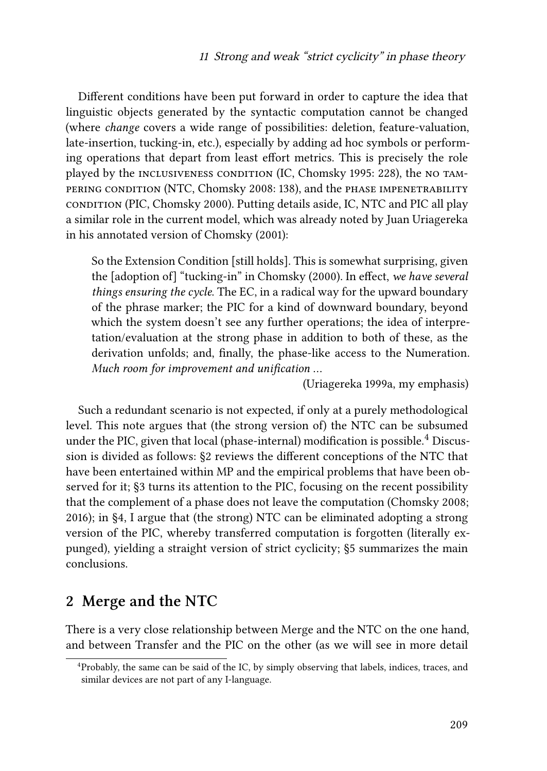Different conditions have been put forward in order to capture the idea that linguistic objects generated by the syntactic computation cannot be changed (where *change* covers a wide range of possibilities: deletion, feature-valuation, late-insertion, tucking-in, etc.), especially by adding ad hoc symbols or performing operations that depart from least effort metrics. This is precisely the role played by the INCLUSIVENESS CONDITION (IC, [Chomsky 1995:](#page-17-1) 228), the NO TAMpering condition (NTC, [Chomsky 2008:](#page-17-3) 138), and the phase impenetrability condition (PIC, [Chomsky 2000\)](#page-17-6). Putting details aside, IC, NTC and PIC all play a similar role in the current model, which was already noted by Juan Uriagereka in his annotated version of [Chomsky \(2001\):](#page-17-2)

So the Extension Condition [still holds]. This is somewhat surprising, given the [adoption of] "tucking-in" in [Chomsky \(2000\).](#page-17-6) In effect, *we have several things ensuring the cycle*. The EC, in a radical way for the upward boundary of the phrase marker; the PIC for a kind of downward boundary, beyond which the system doesn't see any further operations; the idea of interpretation/evaluation at the strong phase in addition to both of these, as the derivation unfolds; and, finally, the phase-like access to the Numeration. *Much room for improvement and unification* …

[\(Uriagereka 1999a](#page-19-1), my emphasis)

Such a redundant scenario is not expected, if only at a purely methodological level. This note argues that (the strong version of) the NTC can be subsumed under the PIC, given that local (phase-internal) modification is possible.<sup>4</sup> Discussion is divided as follows: [§2](#page-2-0) reviews the different conceptions of the NTC that have been entertained within MP and the empirical problems that have been observed for it;§[3](#page-9-0) turns its attention to the PIC, focusing on the recent possibility that the complement of a phase does not leave the computation([Chomsky 2008;](#page-17-3) [2016\)](#page-18-0); in§[4](#page-13-0), I argue that (the strong) NTC can be eliminated adopting a strong version of the PIC, whereby transferred computation is forgotten (literally expunged), yielding a straight version of strict cyclicity; [§5](#page-15-0) summarizes the main conclusions.

## <span id="page-2-0"></span>**2 Merge and the NTC**

There is a very close relationship between Merge and the NTC on the one hand, and between Transfer and the PIC on the other (as we will see in more detail

<sup>&</sup>lt;sup>4</sup>Probably, the same can be said of the IC, by simply observing that labels, indices, traces, and similar devices are not part of any I-language.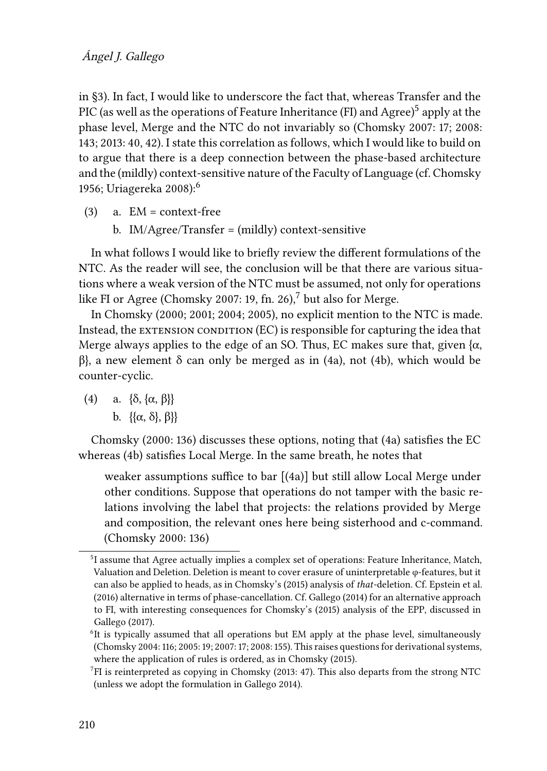in [§3](#page-9-0)). In fact, I would like to underscore the fact that, whereas Transfer and the PIC (as well as the operations of Feature Inheritance (FI) and Agree)<sup>5</sup> apply at the phase level, Merge and the NTC do not invariably so([Chomsky 2007](#page-17-4): 17; [2008](#page-17-3): 143; [2013](#page-18-3): 40, 42). I state this correlation as follows, which I would like to build on to argue that there is a deep connection between the phase-based architecture and the (mildly) context-sensitive nature of the Faculty of Language (cf. [Chomsky](#page-17-7) [1956;](#page-17-7) [Uriagereka 2008\)](#page-19-2):<sup>6</sup>

- <span id="page-3-2"></span> $(3)$  a. EM = context-free
	- b. IM/Agree/Transfer = (mildly) context-sensitive

In what follows I would like to briefly review the different formulations of the NTC. As the reader will see, the conclusion will be that there are various situations where a weak version of the NTC must be assumed, not only for operations likeFI or Agree ([Chomsky 2007:](#page-17-4) 19, fn. 26), $^7$  but also for Merge.

In [Chomsky \(2000;](#page-17-6) [2001;](#page-17-2) [2004](#page-17-8); [2005](#page-17-5)), no explicit mention to the NTC is made. Instead, the EXTENSION CONDITION  $(EC)$  is responsible for capturing the idea that Merge always applies to the edge of an SO. Thus, EC makes sure that, given  $\{\alpha, \beta, \gamma\}$  $β$ , a new element δ can only be merged as in [\(4a\)](#page-3-0), not [\(4b\)](#page-3-1), which would be counter-cyclic.

<span id="page-3-1"></span><span id="page-3-0"></span>(4) a.  $\{\delta, \{\alpha, \beta\}\}\$ b.  $\{\{\alpha, \delta\}, \beta\}\}$ 

[Chomsky \(2000](#page-17-6): 136) discusses these options, noting that [\(4a\)](#page-3-0) satisfies the EC whereas [\(4b\)](#page-3-1) satisfies Local Merge. In the same breath, he notes that

weaker assumptions suffice to bar [([4a](#page-3-0))] but still allow Local Merge under other conditions. Suppose that operations do not tamper with the basic relations involving the label that projects: the relations provided by Merge and composition, the relevant ones here being sisterhood and c-command. [\(Chomsky 2000:](#page-17-6) 136)

<sup>&</sup>lt;sup>5</sup>I assume that Agree actually implies a complex set of operations: Feature Inheritance, Match, Valuation and Deletion. Deletion is meant to cover erasure of uninterpretable φ-features, but it can also be applied to heads, as in [Chomsky](#page-18-4)'s([2015\)](#page-18-4) analysis of *that*-deletion. Cf. [Epstein et al.](#page-18-5) [\(2016\)](#page-18-5) alternative in terms of phase-cancellation. Cf. [Gallego \(2014\)](#page-18-6) for an alternative approach to FI, with interesting consequences for [Chomsky](#page-18-4)'s([2015\)](#page-18-4) analysis of the EPP, discussed in [Gallego \(2017\)](#page-18-7).

<sup>&</sup>lt;sup>6</sup>It is typically assumed that all operations but EM apply at the phase level, simultaneously [\(Chomsky 2004](#page-17-8): 116; [2005](#page-17-5): 19; [2007](#page-17-4): 17; [2008](#page-17-3): 155). This raises questions for derivational systems, where the application of rules is ordered, as in [Chomsky \(2015\).](#page-18-4)

 $7$ FI is reinterpreted as copying in [Chomsky \(2013:](#page-18-3) 47). This also departs from the strong NTC (unless we adopt the formulation in [Gallego 2014](#page-18-6)).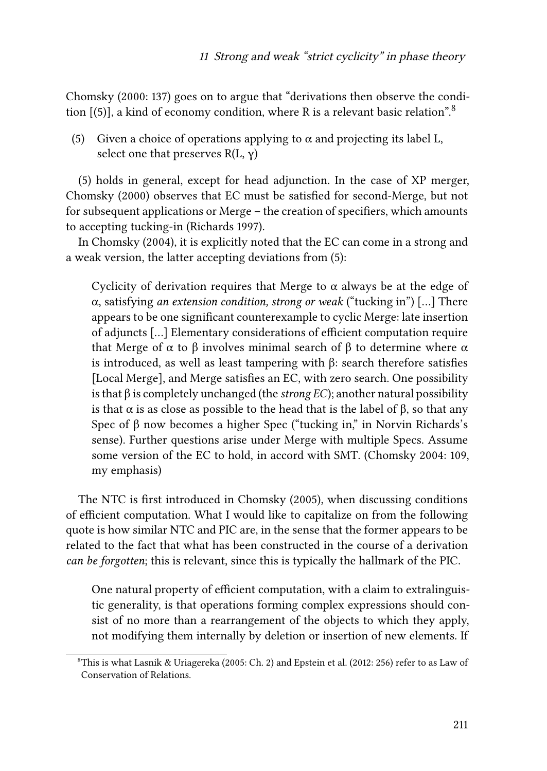[Chomsky \(2000](#page-17-6): 137) goes on to argue that "derivations then observe the condition  $[(5)]$  $[(5)]$  $[(5)]$ , a kind of economy condition, where R is a relevant basic relation".<sup>8</sup>

<span id="page-4-0"></span>(5) Given a choice of operations applying to  $\alpha$  and projecting its label L, select one that preserves  $R(L, \gamma)$ 

[\(5](#page-4-0)) holds in general, except for head adjunction. In the case of XP merger, [Chomsky \(2000\)](#page-17-6) observes that EC must be satisfied for second-Merge, but not for subsequent applications or Merge – the creation of specifiers, which amounts to accepting tucking-in [\(Richards 1997\)](#page-19-3).

In [Chomsky \(2004\)](#page-17-8), it is explicitly noted that the EC can come in a strong and a weak version, the latter accepting deviations from([5\)](#page-4-0):

Cyclicity of derivation requires that Merge to  $\alpha$  always be at the edge of α, satisfying *an extension condition, strong or weak* ("tucking in") […] There appears to be one significant counterexample to cyclic Merge: late insertion of adjuncts […] Elementary considerations of efficient computation require that Merge of  $\alpha$  to  $\beta$  involves minimal search of  $\beta$  to determine where  $\alpha$ is introduced, as well as least tampering with β: search therefore satisfies [Local Merge], and Merge satisfies an EC, with zero search. One possibility is that β is completely unchanged (the *strong EC*); another natural possibility is that  $\alpha$  is as close as possible to the head that is the label of  $\beta$ , so that any Spec of β now becomes a higher Spec ("tucking in," in Norvin Richards's sense). Further questions arise under Merge with multiple Specs. Assume some version of the EC to hold, in accord with SMT. [\(Chomsky 2004](#page-17-8): 109, my emphasis)

The NTC is first introduced in [Chomsky \(2005\),](#page-17-5) when discussing conditions of efficient computation. What I would like to capitalize on from the following quote is how similar NTC and PIC are, in the sense that the former appears to be related to the fact that what has been constructed in the course of a derivation *can be forgotten*; this is relevant, since this is typically the hallmark of the PIC.

One natural property of efficient computation, with a claim to extralinguistic generality, is that operations forming complex expressions should consist of no more than a rearrangement of the objects to which they apply, not modifying them internally by deletion or insertion of new elements. If

<sup>8</sup>This is what [Lasnik & Uriagereka \(2005](#page-19-4): Ch. 2) and [Epstein et al. \(2012](#page-18-8): 256) refer to as Law of Conservation of Relations.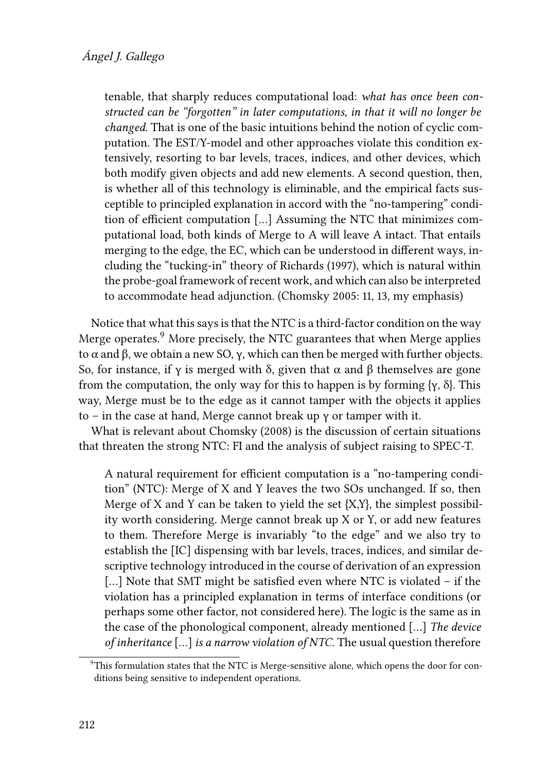tenable, that sharply reduces computational load: *what has once been constructed can be "forgotten" in later computations, in that it will no longer be changed*. That is one of the basic intuitions behind the notion of cyclic computation. The EST/Y-model and other approaches violate this condition extensively, resorting to bar levels, traces, indices, and other devices, which both modify given objects and add new elements. A second question, then, is whether all of this technology is eliminable, and the empirical facts susceptible to principled explanation in accord with the "no-tampering" condition of efficient computation […] Assuming the NTC that minimizes computational load, both kinds of Merge to A will leave A intact. That entails merging to the edge, the EC, which can be understood in different ways, including the "tucking-in" theory of [Richards \(1997\),](#page-19-3) which is natural within the probe-goal framework of recent work, and which can also be interpreted to accommodate head adjunction. [\(Chomsky 2005](#page-17-5): 11, 13, my emphasis)

Notice that what this says is that the NTC is a third-factor condition on the way Merge operates.<sup>9</sup> More precisely, the NTC guarantees that when Merge applies to α and β, we obtain a new SO, γ, which can then be merged with further objects. So, for instance, if  $\gamma$  is merged with  $\delta$ , given that  $\alpha$  and  $\beta$  themselves are gone from the computation, the only way for this to happen is by forming  $\{y, \delta\}$ . This way, Merge must be to the edge as it cannot tamper with the objects it applies to – in the case at hand, Merge cannot break up γ or tamper with it.

What is relevant about [Chomsky \(2008\)](#page-17-3) is the discussion of certain situations that threaten the strong NTC: FI and the analysis of subject raising to SPEC-T.

A natural requirement for efficient computation is a "no-tampering condition" (NTC): Merge of X and Y leaves the two SOs unchanged. If so, then Merge of X and Y can be taken to yield the set  ${X,Y}$ , the simplest possibility worth considering. Merge cannot break up X or Y, or add new features to them. Therefore Merge is invariably "to the edge" and we also try to establish the [IC] dispensing with bar levels, traces, indices, and similar descriptive technology introduced in the course of derivation of an expression [...] Note that SMT might be satisfied even where NTC is violated – if the violation has a principled explanation in terms of interface conditions (or perhaps some other factor, not considered here). The logic is the same as in the case of the phonological component, already mentioned […] *The device of inheritance* […] *is a narrow violation of NTC*. The usual question therefore

 $9$ This formulation states that the NTC is Merge-sensitive alone, which opens the door for conditions being sensitive to independent operations.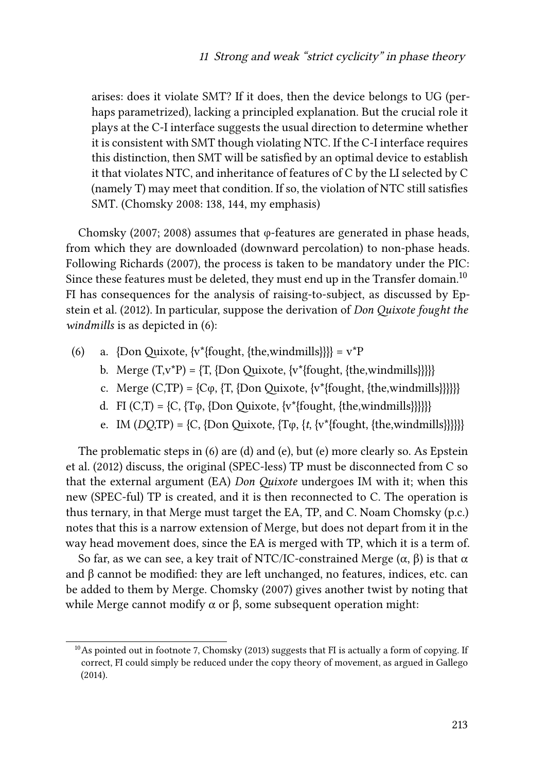arises: does it violate SMT? If it does, then the device belongs to UG (perhaps parametrized), lacking a principled explanation. But the crucial role it plays at the C-I interface suggests the usual direction to determine whether it is consistent with SMT though violating NTC. If the C-I interface requires this distinction, then SMT will be satisfied by an optimal device to establish it that violates NTC, and inheritance of features of C by the LI selected by C (namely T) may meet that condition. If so, the violation of NTC still satisfies SMT. [\(Chomsky 2008](#page-17-3): 138, 144, my emphasis)

[Chomsky \(2007;](#page-17-4) [2008](#page-17-3)) assumes that  $\varphi$ -features are generated in phase heads, from which they are downloaded (downward percolation) to non-phase heads. Following [Richards \(2007\)](#page-19-5), the process is taken to be mandatory under the PIC: Since these features must be deleted, they must end up in the Transfer domain.<sup>10</sup> FI has consequences for the analysis of raising-to-subject, as discussed by [Ep](#page-18-8)[stein et al. \(2012\)](#page-18-8). In particular, suppose the derivation of *Don Quixote fought the windmills* is as depicted in([6\)](#page-6-0):

- <span id="page-6-0"></span>(6) a. {Don Quixote,  $\{v^*\}$  fought,  $\{the, windmills\}\} = v^*P$ 
	- b. Merge  $(T,v^*P) = \{T, \{Don \space Quixote, \{v^*\} fought, \{the, windmills\}\}\}$
	- c. Merge  $(C,TP) = {C\varphi, {T, {Don Quixote, {v*}fought, {the, windmills}}}}$
	- d. FI  $(C,T) = \{C, \{T\varphi, \{\text{Don Quixote}, \{v^*\}\text{fought}, \{\text{the},\text{windmills}\}\}\}$
	- e. IM  $(DQ,TP) = \{C, \{Don Quixote, \{T\varphi, \{t, \{v^*\}fought, \{the, windmills\}\}\}\}\}$

The problematic steps in [\(6](#page-6-0)) are (d) and (e), but (e) more clearly so. As [Epstein](#page-18-8) [et al. \(2012\)](#page-18-8) discuss, the original (SPEC-less) TP must be disconnected from C so that the external argument (EA) *Don Quixote* undergoes IM with it; when this new (SPEC-ful) TP is created, and it is then reconnected to C. The operation is thus ternary, in that Merge must target the EA, TP, and C. Noam Chomsky (p.c.) notes that this is a narrow extension of Merge, but does not depart from it in the way head movement does, since the EA is merged with TP, which it is a term of.

So far, as we can see, a key trait of NTC/IC-constrained Merge  $(\alpha, \beta)$  is that  $\alpha$ and β cannot be modified: they are left unchanged, no features, indices, etc. can be added to them by Merge. [Chomsky \(2007\)](#page-17-4) gives another twist by noting that while Merge cannot modify α or  $β$ , some subsequent operation might:

<sup>&</sup>lt;sup>10</sup>As pointed out in footnote [7](#page-3-2), [Chomsky \(2013\)](#page-18-3) suggests that FI is actually a form of copying. If correct, FI could simply be reduced under the copy theory of movement, as argued in [Gallego](#page-18-6) [\(2014\).](#page-18-6)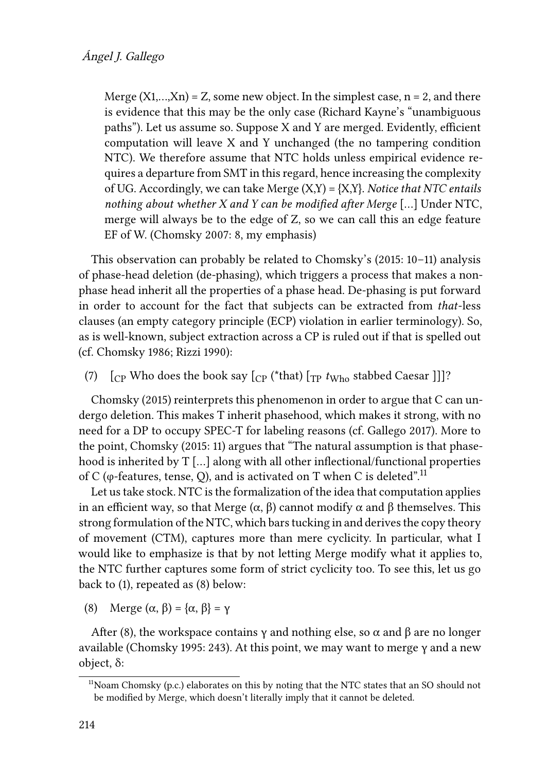Merge  $(X1,...,Xn) = Z$ , some new object. In the simplest case,  $n = 2$ , and there is evidence that this may be the only case (Richard Kayne's "unambiguous paths"). Let us assume so. Suppose X and Y are merged. Evidently, efficient computation will leave X and Y unchanged (the no tampering condition NTC). We therefore assume that NTC holds unless empirical evidence requires a departure from SMT in this regard, hence increasing the complexity of UG. Accordingly, we can take Merge (X,Y) = {X,Y}. *Notice that NTC entails nothing about whether X and Y can be modified after Merge* […] Under NTC, merge will always be to the edge of Z, so we can call this an edge feature EF of W.([Chomsky 2007:](#page-17-4) 8, my emphasis)

This observation can probably be related to [Chomsky](#page-18-4)'s([2015](#page-18-4): 10–11) analysis of phase-head deletion (de-phasing), which triggers a process that makes a nonphase head inherit all the properties of a phase head. De-phasing is put forward in order to account for the fact that subjects can be extracted from *that*-less clauses (an empty category principle (ECP) violation in earlier terminology). So, as is well-known, subject extraction across a CP is ruled out if that is spelled out (cf. [Chomsky 1986;](#page-17-9) [Rizzi 1990](#page-19-6)):

(7)  $\left[\begin{array}{cc} \text{CP} \text{ Who does the book say } \left[\begin{array}{cc} \text{CP} \end{array}\right] \text{+that} \right] \left[\begin{array}{cc} \text{TP } t_{\text{Who}} \text{stabeled Caesar} \end{array}\right]\right]$ ?

[Chomsky \(2015\)](#page-18-4) reinterprets this phenomenon in order to argue that C can undergo deletion. This makes T inherit phasehood, which makes it strong, with no need for a DP to occupy SPEC-T for labeling reasons (cf. [Gallego 2017](#page-18-7)). More to the point, [Chomsky \(2015:](#page-18-4) 11) argues that "The natural assumption is that phasehood is inherited by T […] along with all other inflectional/functional properties of C ( $\varphi$ -features, tense, Q), and is activated on T when C is deleted".<sup>11</sup>

Let us take stock. NTC is the formalization of the idea that computation applies in an efficient way, so that Merge  $(α, β)$  cannot modify  $α$  and  $β$  themselves. This strong formulation of the NTC, which bars tucking in and derives the copy theory of movement (CTM), captures more than mere cyclicity. In particular, what I would like to emphasize is that by not letting Merge modify what it applies to, the NTC further captures some form of strict cyclicity too. To see this, let us go back to([1\)](#page-1-0), repeated as [\(8](#page-7-0)) below:

<span id="page-7-0"></span>(8) Merge  $(\alpha, \beta) = {\alpha, \beta} = \gamma$ 

After [\(8](#page-7-0)), the workspace contains  $\gamma$  and nothing else, so  $\alpha$  and  $\beta$  are no longer available [\(Chomsky 1995:](#page-17-1) 243). At this point, we may want to merge γ and a new object, δ:

<sup>&</sup>lt;sup>11</sup>Noam Chomsky (p.c.) elaborates on this by noting that the NTC states that an SO should not be modified by Merge, which doesn't literally imply that it cannot be deleted.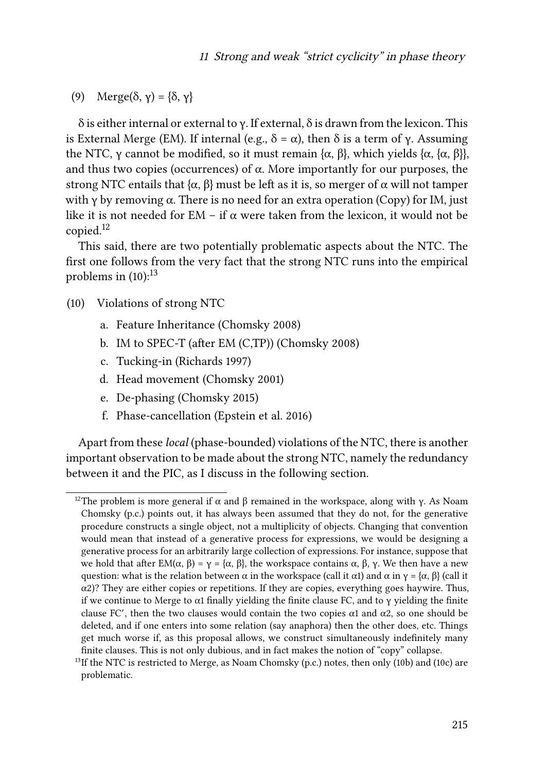(9) Merge( $\delta$ ,  $\gamma$ ) = { $\delta$ ,  $\gamma$ }

δ is either internal or external to γ. If external, δ is drawn from the lexicon. This is External Merge (EM). If internal (e.g.,  $\delta = \alpha$ ), then  $\delta$  is a term of γ. Assuming the NTC, γ cannot be modified, so it must remain { $\alpha$ ,  $\beta$ }, which yields { $\alpha$ , { $\alpha$ ,  $\beta$ }}, and thus two copies (occurrences) of  $\alpha$ . More importantly for our purposes, the strong NTC entails that { $\alpha$ ,  $\beta$ } must be left as it is, so merger of  $\alpha$  will not tamper with  $\gamma$  by removing  $\alpha$ . There is no need for an extra operation (Copy) for IM, just like it is not needed for EM – if  $\alpha$  were taken from the lexicon, it would not be copied.<sup>12</sup>

This said, there are two potentially problematic aspects about the NTC. The first one follows from the very fact that the strong NTC runs into the empirical problemsin  $(10)$  $(10)$  $(10)$ :<sup>13</sup>

- <span id="page-8-0"></span>(10) Violations of strong NTC
	- a. Feature Inheritance [\(Chomsky 2008\)](#page-17-3)
	- b. IM to SPEC-T (after EM (C,TP)) [\(Chomsky 2008\)](#page-17-3)
	- c. Tucking-in([Richards 1997](#page-19-3))
	- d. Head movement([Chomsky 2001\)](#page-17-2)
	- e. De-phasing([Chomsky 2015\)](#page-18-4)
	- f. Phase-cancellation [\(Epstein et al. 2016\)](#page-18-5)

Apart from these *local* (phase-bounded) violations of the NTC, there is another important observation to be made about the strong NTC, namely the redundancy between it and the PIC, as I discuss in the following section.

<sup>&</sup>lt;sup>12</sup>The problem is more general if  $\alpha$  and  $\beta$  remained in the workspace, along with γ. As Noam Chomsky (p.c.) points out, it has always been assumed that they do not, for the generative procedure constructs a single object, not a multiplicity of objects. Changing that convention would mean that instead of a generative process for expressions, we would be designing a generative process for an arbitrarily large collection of expressions. For instance, suppose that we hold that after EM( $\alpha$ , β) =  $\gamma$  = { $\alpha$ , β}, the workspace contains  $\alpha$ , β,  $\gamma$ . We then have a new question: what is the relation between  $\alpha$  in the workspace (call it  $\alpha$ 1) and  $\alpha$  in  $\gamma = {\alpha, \beta}$  (call it  $\alpha$ 2)? They are either copies or repetitions. If they are copies, everything goes haywire. Thus, if we continue to Merge to  $α1$  finally yielding the finite clause FC, and to γ yielding the finite clause FC', then the two clauses would contain the two copies  $\alpha$ 1 and  $\alpha$ 2, so one should be deleted, and if one enters into some relation (say anaphora) then the other does, etc. Things get much worse if, as this proposal allows, we construct simultaneously indefinitely many finite clauses. This is not only dubious, and in fact makes the notion of "copy" collapse.

<sup>&</sup>lt;sup>13</sup>If the NTC is restricted to Merge, as Noam Chomsky (p.c.) notes, then only (10b) and (10c) are problematic.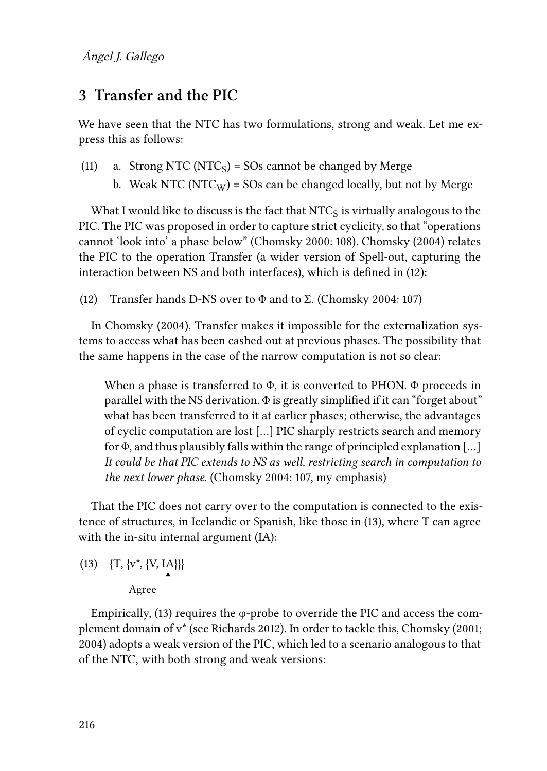#### <span id="page-9-0"></span>**3 Transfer and the PIC**

We have seen that the NTC has two formulations, strong and weak. Let me express this as follows:

- (11) a. Strong NTC (NTC<sub>S</sub>) = SOs cannot be changed by Merge
	- b. Weak NTC (NTC<sub>W</sub>) = SOs can be changed locally, but not by Merge

What I would like to discuss is the fact that  $\rm{NTC_S}$  is virtually analogous to the PIC. The PIC was proposed in order to capture strict cyclicity, so that "operations cannot 'look into' a phase below" [\(Chomsky 2000:](#page-17-6) 108). [Chomsky \(2004\)](#page-17-8) relates the PIC to the operation Transfer (a wider version of Spell-out, capturing the interaction between NS and both interfaces), which is defined in [\(12\)](#page-9-1):

<span id="page-9-1"></span>(12)Transfer hands D-NS over to  $\Phi$  and to  $\Sigma$ . ([Chomsky 2004](#page-17-8): 107)

In [Chomsky \(2004\)](#page-17-8), Transfer makes it impossible for the externalization systems to access what has been cashed out at previous phases. The possibility that the same happens in the case of the narrow computation is not so clear:

When a phase is transferred to  $\Phi$ , it is converted to PHON.  $\Phi$  proceeds in parallel with the NS derivation. Φ is greatly simplified if it can "forget about" what has been transferred to it at earlier phases; otherwise, the advantages of cyclic computation are lost […] PIC sharply restricts search and memory for Φ, and thus plausibly falls within the range of principled explanation […] *It could be that PIC extends to NS as well, restricting search in computation to the next lower phase*. [\(Chomsky 2004:](#page-17-8) 107, my emphasis)

That the PIC does not carry over to the computation is connected to the existence of structures, in Icelandic or Spanish, like those in [\(13](#page-9-2)), where T can agree with the in-situ internal argument (IA):

<span id="page-9-2"></span>(13) {T, {v\*, {V, IA}}}   
\n
$$
\downarrow
$$

Empirically, $(13)$  $(13)$  requires the  $\varphi$ -probe to override the PIC and access the complement domain of v\* (see [Richards 2012](#page-19-7)). In order to tackle this, [Chomsky \(2001;](#page-17-2) [2004\)](#page-17-8) adopts a weak version of the PIC, which led to a scenario analogous to that of the NTC, with both strong and weak versions: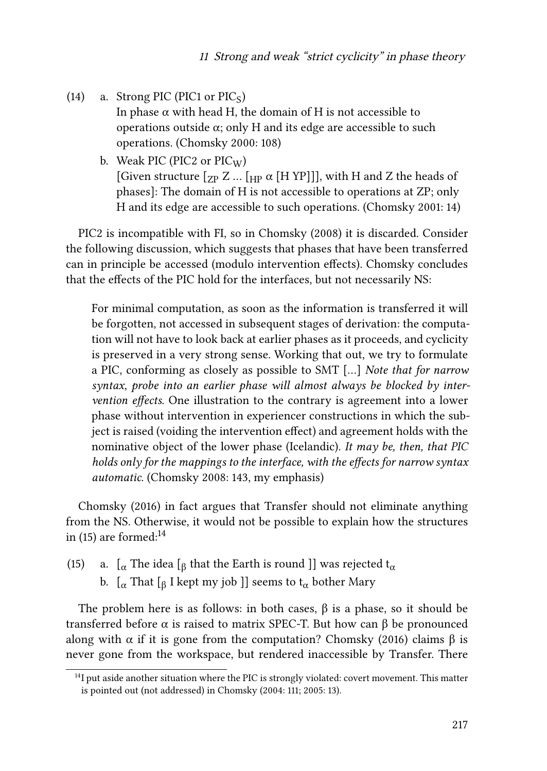- (14) a. Strong PIC (PIC1 or  $\text{PIC}_\text{S}$ ) In phase  $\alpha$  with head H, the domain of H is not accessible to operations outside  $\alpha$ ; only H and its edge are accessible to such operations. [\(Chomsky 2000:](#page-17-6) 108)
	- b. Weak PIC (PIC2 or  $\text{PIC}_{W}$ ) [Given structure  $\left[\gamma_{\rm P} Z \dots \left[\mu_{\rm P} \alpha \left[\rm H \ Y \rm P \right]\right]\right]$ , with H and Z the heads of phases]: The domain of H is not accessible to operations at ZP; only H and its edge are accessible to such operations. [\(Chomsky 2001](#page-17-2): 14)

PIC2 is incompatible with FI, so in [Chomsky \(2008\)](#page-17-3) it is discarded. Consider the following discussion, which suggests that phases that have been transferred can in principle be accessed (modulo intervention effects). Chomsky concludes that the effects of the PIC hold for the interfaces, but not necessarily NS:

For minimal computation, as soon as the information is transferred it will be forgotten, not accessed in subsequent stages of derivation: the computation will not have to look back at earlier phases as it proceeds, and cyclicity is preserved in a very strong sense. Working that out, we try to formulate a PIC, conforming as closely as possible to SMT […] *Note that for narrow syntax, probe into an earlier phase will almost always be blocked by intervention effects*. One illustration to the contrary is agreement into a lower phase without intervention in experiencer constructions in which the subject is raised (voiding the intervention effect) and agreement holds with the nominative object of the lower phase (Icelandic). *It may be, then, that PIC holds only for the mappings to the interface, with the effects for narrow syntax automatic*.([Chomsky 2008](#page-17-3): 143, my emphasis)

[Chomsky \(2016\)](#page-18-0) in fact argues that Transfer should not eliminate anything from the NS. Otherwise, it would not be possible to explain how the structures in([15\)](#page-10-0) are formed: $^{14}$ 

- <span id="page-10-0"></span>(15) – a.  $\,$  [ $_{\alpha}$  The idea [ $_{\beta}$  that the Earth is round ]] was rejected t $_{\alpha}$ 
	- b.  $\,$  [ $_{\alpha}$  That [ $_{\beta}$  I kept my job ]] seems to t $_{\alpha}$  bother Mary

The problem here is as follows: in both cases,  $\beta$  is a phase, so it should be transferred before α is raised to matrix SPEC-T. But how can β be pronounced along with  $\alpha$  if it is gone from the computation? [Chomsky \(2016\)](#page-18-0) claims  $\beta$  is never gone from the workspace, but rendered inaccessible by Transfer. There

<sup>&</sup>lt;sup>14</sup>I put aside another situation where the PIC is strongly violated: covert movement. This matter is pointed out (not addressed) in [Chomsky \(2004](#page-17-8): 111; [2005:](#page-17-5) 13).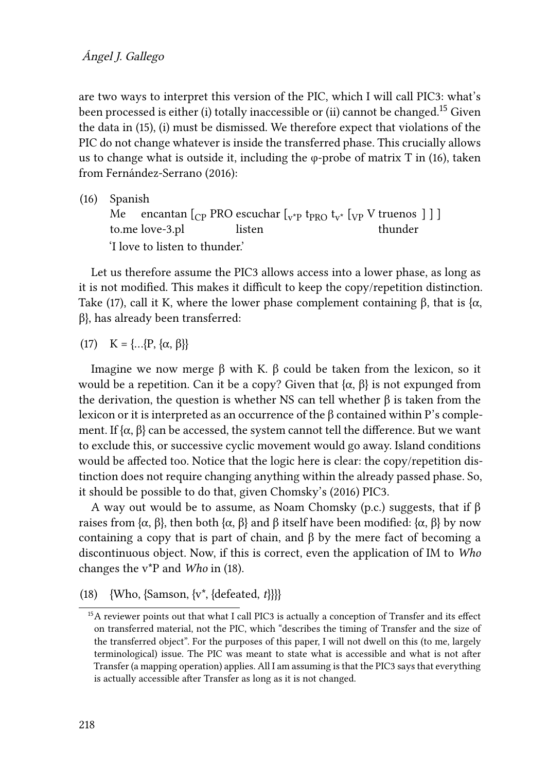#### Ángel J. Gallego

are two ways to interpret this version of the PIC, which I will call PIC3: what's been processed is either (i) totally inaccessible or (ii) cannot be changed.<sup>15</sup> Given the data in([15\)](#page-10-0), (i) must be dismissed. We therefore expect that violations of the PIC do not change whatever is inside the transferred phase. This crucially allows us to change what is outside it, including the  $\varphi$ -probe of matrix T in [\(16](#page-11-0)), taken from [Fernández-Serrano \(2016\):](#page-18-9)

<span id="page-11-0"></span>(16) Spanish Me to.me love-3.pl encantan [<sub>CP</sub> PRO escuchar [<sub>v\*P</sub> t<sub>PRO</sub> t<sub>v\*</sub> [<sub>VP</sub> V truenos ] ] ] listen thunder 'I love to listen to thunder.'

Let us therefore assume the PIC3 allows access into a lower phase, as long as it is not modified. This makes it difficult to keep the copy/repetition distinction. Take [\(17\)](#page-11-1), call it K, where the lower phase complement containing  $\beta$ , that is { $\alpha$ , β}, has already been transferred:

<span id="page-11-1"></span>(17)  $K = \{...\{P, \{\alpha, \beta\}\}\}\$ 

Imagine we now merge β with K. β could be taken from the lexicon, so it would be a repetition. Can it be a copy? Given that  $\{\alpha, \beta\}$  is not expunged from the derivation, the question is whether NS can tell whether β is taken from the lexicon or it is interpreted as an occurrence of the β contained within P's complement. If  $\{\alpha, \beta\}$  can be accessed, the system cannot tell the difference. But we want to exclude this, or successive cyclic movement would go away. Island conditions would be affected too. Notice that the logic here is clear: the copy/repetition distinction does not require changing anything within the already passed phase. So, it should be possible to do that, given [Chomsky'](#page-18-0)s([2016\)](#page-18-0) PIC3.

A way out would be to assume, as Noam Chomsky (p.c.) suggests, that if β raises from { $\alpha$ , β}, then both { $\alpha$ , β} and β itself have been modified: { $\alpha$ , β} by now containing a copy that is part of chain, and β by the mere fact of becoming a discontinuous object. Now, if this is correct, even the application of IM to *Who* changes the v\*P and *Who* in([18\)](#page-11-2).

<span id="page-11-2"></span>(18) {Who, {Samson, {v\*, {defeated, *t*}}}}

<sup>&</sup>lt;sup>15</sup>A reviewer points out that what I call PIC3 is actually a conception of Transfer and its effect on transferred material, not the PIC, which "describes the timing of Transfer and the size of the transferred object". For the purposes of this paper, I will not dwell on this (to me, largely terminological) issue. The PIC was meant to state what is accessible and what is not after Transfer (a mapping operation) applies. All I am assuming is that the PIC3 says that everything is actually accessible after Transfer as long as it is not changed.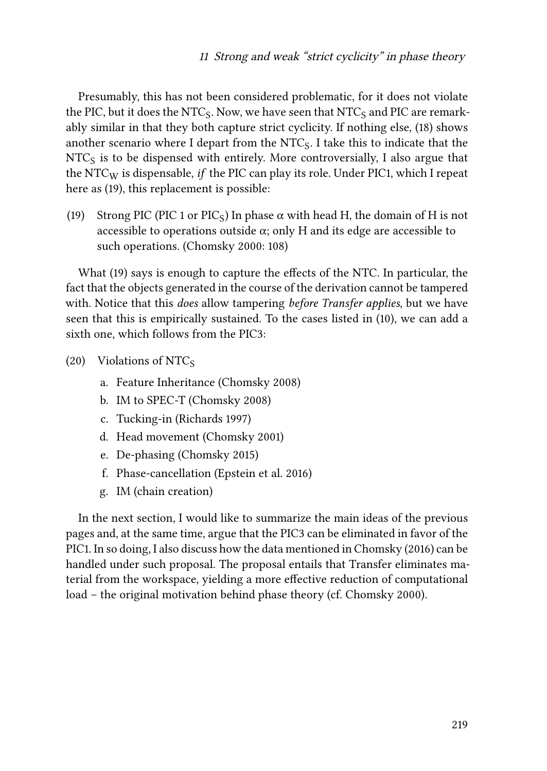Presumably, this has not been considered problematic, for it does not violate the PIC, but it does the NTC<sub>S</sub>. Now, we have seen that NTC<sub>S</sub> and PIC are remarkably similar in that they both capture strict cyclicity. If nothing else, [\(18](#page-11-2)) shows another scenario where I depart from the  $\rm{NTC}_{S}$ . I take this to indicate that the  $\rm{NTC}_{\rm{S}}$  is to be dispensed with entirely. More controversially, I also argue that the NTC<sup>W</sup> is dispensable, *if* the PIC can play its role. Under PIC1, which I repeat here as([19\)](#page-12-0), this replacement is possible:

<span id="page-12-0"></span>(19) Strong PIC (PIC 1 or PIC<sub>S</sub>) In phase  $\alpha$  with head H, the domain of H is not accessible to operations outside  $\alpha$ ; only H and its edge are accessible to such operations. [\(Chomsky 2000:](#page-17-6) 108)

What([19](#page-12-0)) says is enough to capture the effects of the NTC. In particular, the fact that the objects generated in the course of the derivation cannot be tampered with. Notice that this *does* allow tampering *before Transfer applies*, but we have seen that this is empirically sustained. To the cases listed in([10](#page-8-0)), we can add a sixth one, which follows from the PIC3:

- (20) Violations of NTC<sub>S</sub>
	- a. Feature Inheritance [\(Chomsky 2008\)](#page-17-3)
	- b. IM to SPEC-T [\(Chomsky 2008\)](#page-17-3)
	- c. Tucking-in([Richards 1997](#page-19-3))
	- d. Head movement([Chomsky 2001\)](#page-17-2)
	- e. De-phasing([Chomsky 2015\)](#page-18-4)
	- f. Phase-cancellation [\(Epstein et al. 2016\)](#page-18-5)
	- g. IM (chain creation)

In the next section, I would like to summarize the main ideas of the previous pages and, at the same time, argue that the PIC3 can be eliminated in favor of the PIC1. In so doing, I also discuss how the data mentioned in [Chomsky \(2016\)](#page-18-0) can be handled under such proposal. The proposal entails that Transfer eliminates material from the workspace, yielding a more effective reduction of computational load – the original motivation behind phase theory (cf. [Chomsky 2000](#page-17-6)).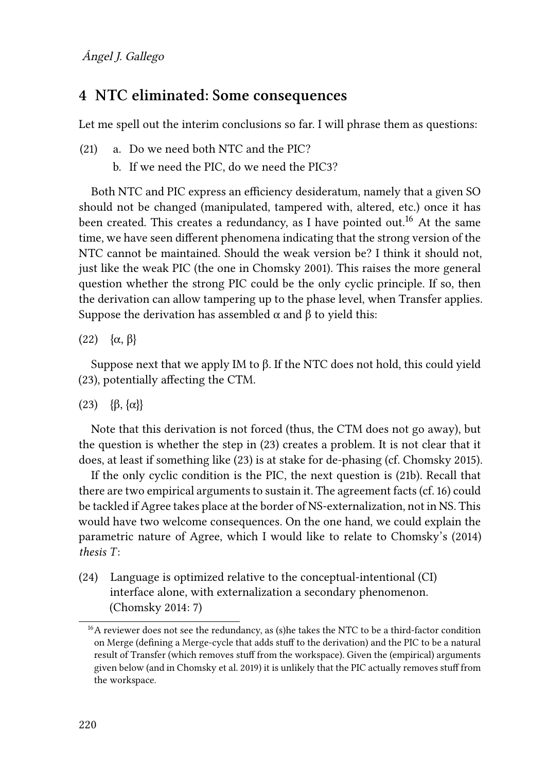#### <span id="page-13-0"></span>**4 NTC eliminated: Some consequences**

Let me spell out the interim conclusions so far. I will phrase them as questions:

- <span id="page-13-2"></span>(21) a. Do we need both NTC and the PIC?
	- b. If we need the PIC, do we need the PIC3?

Both NTC and PIC express an efficiency desideratum, namely that a given SO should not be changed (manipulated, tampered with, altered, etc.) once it has been created. This creates a redundancy, as I have pointed out.<sup>16</sup> At the same time, we have seen different phenomena indicating that the strong version of the NTC cannot be maintained. Should the weak version be? I think it should not, just like the weak PIC (the one in [Chomsky 2001\)](#page-17-2). This raises the more general question whether the strong PIC could be the only cyclic principle. If so, then the derivation can allow tampering up to the phase level, when Transfer applies. Suppose the derivation has assembled  $\alpha$  and  $\beta$  to yield this:

(22)  $\{\alpha, \beta\}$ 

Suppose next that we apply IM to β. If the NTC does not hold, this could yield [\(23\)](#page-13-1), potentially affecting the CTM.

<span id="page-13-1"></span>(23) {β, {α}}

Note that this derivation is not forced (thus, the CTM does not go away), but the question is whether the step in([23\)](#page-13-1) creates a problem. It is not clear that it does, at least if something like [\(23\)](#page-13-1) is at stake for de-phasing (cf. [Chomsky 2015\)](#page-18-4).

If the only cyclic condition is the PIC, the next question is [\(21b\)](#page-13-2). Recall that there are two empirical arguments to sustain it. The agreement facts (cf. [16](#page-11-0)) could be tackled if Agree takes place at the border of NS-externalization, not in NS. This would have two welcome consequences. On the one hand, we could explain the parametric nature of Agree, which I would like to relate to [Chomsky](#page-18-10)'s (2014) *thesis T*:

(24) Language is optimized relative to the conceptual-intentional (CI) interface alone, with externalization a secondary phenomenon. ([Chomsky 2014:](#page-18-10) 7)

<sup>&</sup>lt;sup>16</sup>A reviewer does not see the redundancy, as (s)he takes the NTC to be a third-factor condition on Merge (defining a Merge-cycle that adds stuff to the derivation) and the PIC to be a natural result of Transfer (which removes stuff from the workspace). Given the (empirical) arguments given below (and in [Chomsky et al. 2019\)](#page-18-2) it is unlikely that the PIC actually removes stuff from the workspace.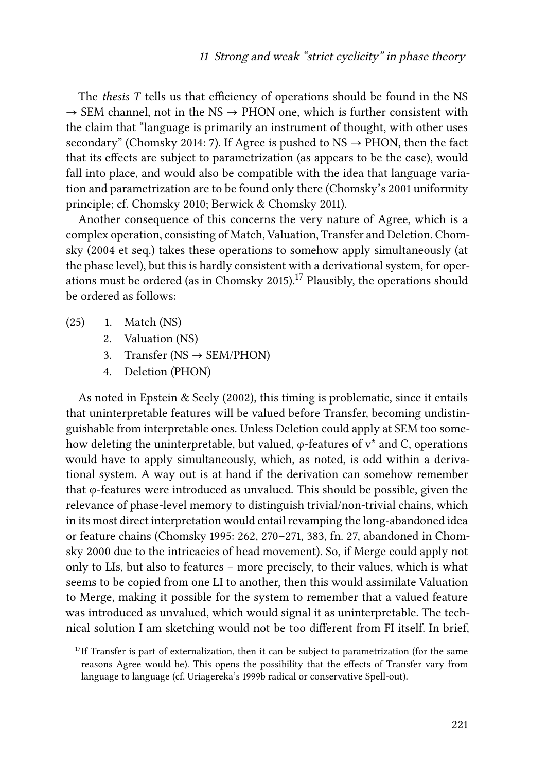The *thesis T* tells us that efficiency of operations should be found in the NS  $\rightarrow$  SEM channel, not in the NS  $\rightarrow$  PHON one, which is further consistent with the claim that "language is primarily an instrument of thought, with other uses secondary"([Chomsky 2014:](#page-18-10) 7). If Agree is pushed to NS  $\rightarrow$  PHON, then the fact that its effects are subject to parametrization (as appears to be the case), would fall into place, and would also be compatible with the idea that language variation and parametrization are to be found only there [\(Chomsky'](#page-17-2)s [2001](#page-17-2) uniformity principle; cf. [Chomsky 2010](#page-18-11); [Berwick & Chomsky 2011](#page-17-10)).

Another consequence of this concerns the very nature of Agree, which is a complex operation, consisting of Match, Valuation, Transfer and Deletion. Chomsky [\(2004](#page-17-8) et seq.) takes these operations to somehow apply simultaneously (at the phase level), but this is hardly consistent with a derivational system, for oper-ations must be ordered (as in [Chomsky 2015](#page-18-4)).<sup>17</sup> Plausibly, the operations should be ordered as follows:

- (25) 1. Match (NS)
	- 2. Valuation (NS)
	- 3. Transfer (NS  $\rightarrow$  SEM/PHON)
	- 4. Deletion (PHON)

As noted in [Epstein & Seely \(2002\),](#page-18-12) this timing is problematic, since it entails that uninterpretable features will be valued before Transfer, becoming undistinguishable from interpretable ones. Unless Deletion could apply at SEM too somehow deleting the uninterpretable, but valued,  $\varphi$ -features of  $v^*$  and C, operations would have to apply simultaneously, which, as noted, is odd within a derivational system. A way out is at hand if the derivation can somehow remember that φ-features were introduced as unvalued. This should be possible, given the relevance of phase-level memory to distinguish trivial/non-trivial chains, which in its most direct interpretation would entail revamping the long-abandoned idea or feature chains [\(Chomsky 1995](#page-17-1): 262, 270–271, 383, fn. 27, abandoned in [Chom](#page-17-6)[sky 2000](#page-17-6) due to the intricacies of head movement). So, if Merge could apply not only to LIs, but also to features – more precisely, to their values, which is what seems to be copied from one LI to another, then this would assimilate Valuation to Merge, making it possible for the system to remember that a valued feature was introduced as unvalued, which would signal it as uninterpretable. The technical solution I am sketching would not be too different from FI itself. In brief,

<sup>&</sup>lt;sup>17</sup>If Transfer is part of externalization, then it can be subject to parametrization (for the same reasons Agree would be). This opens the possibility that the effects of Transfer vary from language to language (cf. [Uriagereka'](#page-19-8)s [1999b](#page-19-8) radical or conservative Spell-out).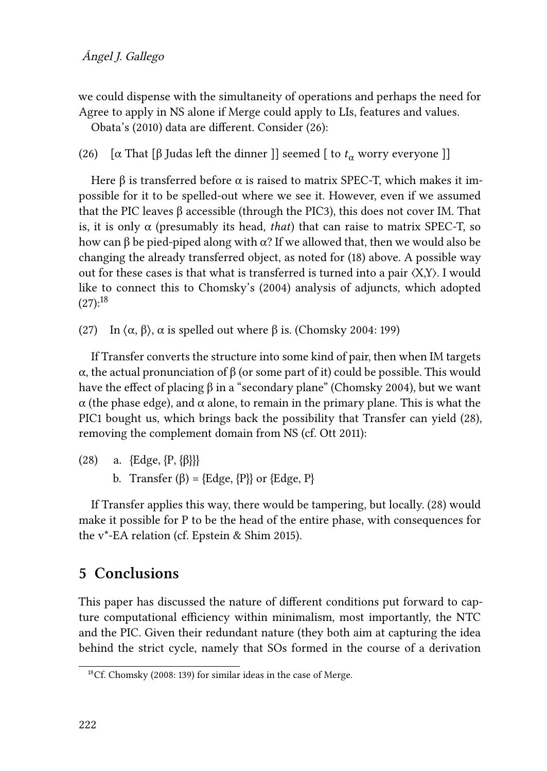we could dispense with the simultaneity of operations and perhaps the need for Agree to apply in NS alone if Merge could apply to LIs, features and values.

[Obata'](#page-19-9)s([2010\)](#page-19-9) data are different. Consider [\(26\)](#page-15-1):

<span id="page-15-1"></span>(26) [ $\alpha$  That [ $\beta$  Judas left the dinner ]] seemed [ to  $t_{\alpha}$  worry everyone ]]

Here  $\beta$  is transferred before  $\alpha$  is raised to matrix SPEC-T, which makes it impossible for it to be spelled-out where we see it. However, even if we assumed that the PIC leaves β accessible (through the PIC3), this does not cover IM. That is, it is only  $\alpha$  (presumably its head, *that*) that can raise to matrix SPEC-T, so how can β be pied-piped along with α? If we allowed that, then we would also be changing the already transferred object, as noted for([18\)](#page-11-2) above. A possible way out for these cases is that what is transferred is turned into a pair  $\langle X, Y \rangle$ . I would like to connect this to [Chomsky](#page-17-8)'s (2004) analysis of adjuncts, which adopted  $(27):^{18}$  $(27):^{18}$ 

<span id="page-15-2"></span>(27) In  $(\alpha, \beta)$ ,  $\alpha$  is spelled out where  $\beta$  is. [\(Chomsky 2004:](#page-17-8) 199)

If Transfer converts the structure into some kind of pair, then when IM targets α, the actual pronunciation of β (or some part of it) could be possible. This would havethe effect of placing β in a "secondary plane" ([Chomsky 2004\)](#page-17-8), but we want  $\alpha$  (the phase edge), and  $\alpha$  alone, to remain in the primary plane. This is what the PIC1 bought us, which brings back the possibility that Transfer can yield([28](#page-15-3)), removing the complement domain from NS (cf. [Ott 2011\)](#page-19-10):

<span id="page-15-3"></span>(28) a. {Edge, {P, {β}}} b. Transfer  $(\beta) = \{Edge, \{P\}\}\$ or  $\{Edge, P\}$ 

If Transfer applies this way, there would be tampering, but locally.([28](#page-15-3)) would make it possible for P to be the head of the entire phase, with consequences for the v\*-EA relation (cf. [Epstein & Shim 2015\)](#page-18-13).

#### <span id="page-15-0"></span>**5 Conclusions**

This paper has discussed the nature of different conditions put forward to capture computational efficiency within minimalism, most importantly, the NTC and the PIC. Given their redundant nature (they both aim at capturing the idea behind the strict cycle, namely that SOs formed in the course of a derivation

<sup>18</sup>Cf. [Chomsky \(2008:](#page-17-3) 139) for similar ideas in the case of Merge.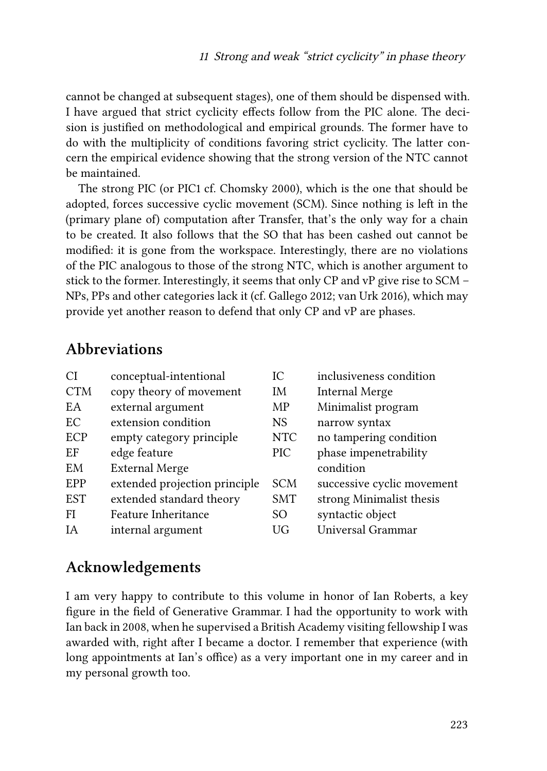cannot be changed at subsequent stages), one of them should be dispensed with. I have argued that strict cyclicity effects follow from the PIC alone. The decision is justified on methodological and empirical grounds. The former have to do with the multiplicity of conditions favoring strict cyclicity. The latter concern the empirical evidence showing that the strong version of the NTC cannot be maintained.

The strong PIC (or PIC1 cf. [Chomsky 2000\)](#page-17-6), which is the one that should be adopted, forces successive cyclic movement (SCM). Since nothing is left in the (primary plane of) computation after Transfer, that's the only way for a chain to be created. It also follows that the SO that has been cashed out cannot be modified: it is gone from the workspace. Interestingly, there are no violations of the PIC analogous to those of the strong NTC, which is another argument to stick to the former. Interestingly, it seems that only CP and vP give rise to SCM – NPs, PPs and other categories lack it (cf. [Gallego 2012;](#page-18-14) [van Urk 2016\)](#page-19-11), which may provide yet another reason to defend that only CP and vP are phases.

#### **Abbreviations**

| CI.        | conceptual-intentional        | IC.        | inclusiveness condition    |
|------------|-------------------------------|------------|----------------------------|
| <b>CTM</b> | copy theory of movement       | IM         | <b>Internal Merge</b>      |
| EA         | external argument             | MP         | Minimalist program         |
| EC         | extension condition           | <b>NS</b>  | narrow syntax              |
| ECP        | empty category principle      | <b>NTC</b> | no tampering condition     |
| EF         | edge feature                  | <b>PIC</b> | phase impenetrability      |
| EM         | <b>External Merge</b>         |            | condition                  |
| EPP        | extended projection principle | <b>SCM</b> | successive cyclic movement |
| <b>EST</b> | extended standard theory      | <b>SMT</b> | strong Minimalist thesis   |
| FI         | Feature Inheritance           | SO.        | syntactic object           |
| <b>IA</b>  | internal argument             | UG         | Universal Grammar          |

## **Acknowledgements**

I am very happy to contribute to this volume in honor of Ian Roberts, a key figure in the field of Generative Grammar. I had the opportunity to work with Ian back in 2008, when he supervised a British Academy visiting fellowship I was awarded with, right after I became a doctor. I remember that experience (with long appointments at Ian's office) as a very important one in my career and in my personal growth too.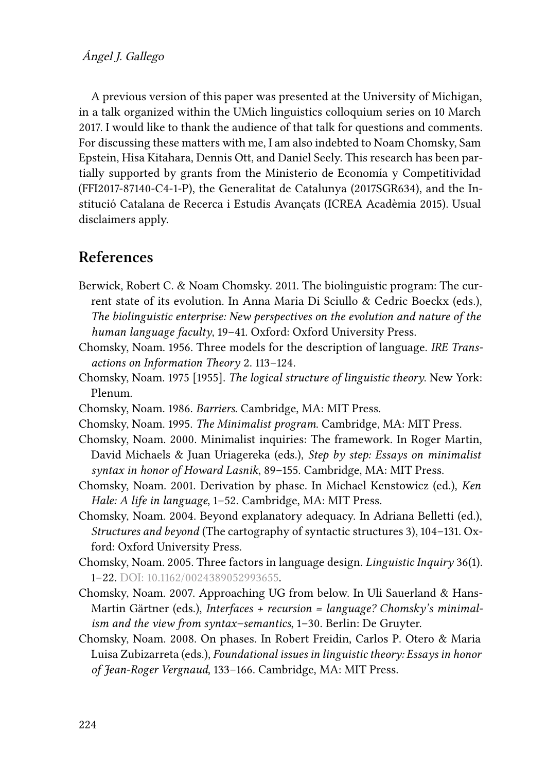A previous version of this paper was presented at the University of Michigan, in a talk organized within the UMich linguistics colloquium series on 10 March 2017. I would like to thank the audience of that talk for questions and comments. For discussing these matters with me, I am also indebted to Noam Chomsky, Sam Epstein, Hisa Kitahara, Dennis Ott, and Daniel Seely. This research has been partially supported by grants from the Ministerio de Economía y Competitividad (FFI2017-87140-C4-1-P), the Generalitat de Catalunya (2017SGR634), and the Institució Catalana de Recerca i Estudis Avançats (ICREA Acadèmia 2015). Usual disclaimers apply.

#### **References**

- <span id="page-17-10"></span>Berwick, Robert C. & Noam Chomsky. 2011. The biolinguistic program: The current state of its evolution. In Anna Maria Di Sciullo & Cedric Boeckx (eds.), *The biolinguistic enterprise: New perspectives on the evolution and nature of the human language faculty*, 19–41. Oxford: Oxford University Press.
- <span id="page-17-7"></span>Chomsky, Noam. 1956. Three models for the description of language. *IRE Transactions on Information Theory* 2. 113–124.
- <span id="page-17-0"></span>Chomsky, Noam. 1975 [1955]. *The logical structure of linguistic theory*. New York: Plenum.
- <span id="page-17-9"></span>Chomsky, Noam. 1986. *Barriers*. Cambridge, MA: MIT Press.
- <span id="page-17-1"></span>Chomsky, Noam. 1995. *The Minimalist program*. Cambridge, MA: MIT Press.
- <span id="page-17-6"></span>Chomsky, Noam. 2000. Minimalist inquiries: The framework. In Roger Martin, David Michaels & Juan Uriagereka (eds.), *Step by step: Essays on minimalist syntax in honor of Howard Lasnik*, 89–155. Cambridge, MA: MIT Press.
- <span id="page-17-2"></span>Chomsky, Noam. 2001. Derivation by phase. In Michael Kenstowicz (ed.), *Ken Hale: A life in language*, 1–52. Cambridge, MA: MIT Press.
- <span id="page-17-8"></span>Chomsky, Noam. 2004. Beyond explanatory adequacy. In Adriana Belletti (ed.), *Structures and beyond* (The cartography of syntactic structures 3), 104–131. Oxford: Oxford University Press.
- <span id="page-17-5"></span>Chomsky, Noam. 2005. Three factors in language design. *Linguistic Inquiry* 36(1). 1–22. DOI: [10.1162/0024389052993655.](https://doi.org/10.1162/0024389052993655)
- <span id="page-17-4"></span>Chomsky, Noam. 2007. Approaching UG from below. In Uli Sauerland & Hans-Martin Gärtner (eds.), *Interfaces + recursion = language? Chomsky's minimalism and the view from syntax–semantics*, 1–30. Berlin: De Gruyter.
- <span id="page-17-3"></span>Chomsky, Noam. 2008. On phases. In Robert Freidin, Carlos P. Otero & Maria Luisa Zubizarreta (eds.), *Foundational issues in linguistic theory: Essays in honor of Jean-Roger Vergnaud*, 133–166. Cambridge, MA: MIT Press.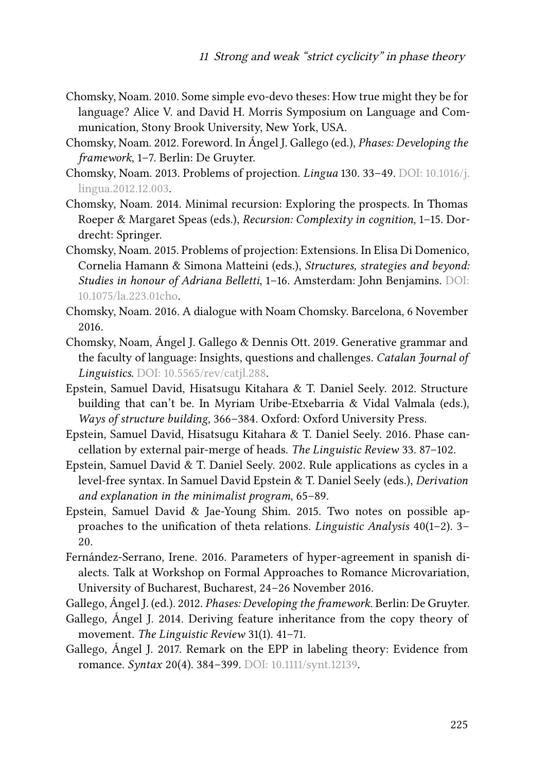- <span id="page-18-11"></span>Chomsky, Noam. 2010. Some simple evo-devo theses: How true might they be for language? Alice V. and David H. Morris Symposium on Language and Communication, Stony Brook University, New York, USA.
- <span id="page-18-1"></span>Chomsky, Noam. 2012. Foreword. In Ángel J. Gallego (ed.), *Phases: Developing the framework*, 1–7. Berlin: De Gruyter.
- <span id="page-18-3"></span>Chomsky, Noam. 2013. Problems of projection. *Lingua* 130. 33–49. DOI: [10.1016/j.](https://doi.org/10.1016/j.lingua.2012.12.003) [lingua.2012.12.003.](https://doi.org/10.1016/j.lingua.2012.12.003)
- <span id="page-18-10"></span>Chomsky, Noam. 2014. Minimal recursion: Exploring the prospects. In Thomas Roeper & Margaret Speas (eds.), *Recursion: Complexity in cognition*, 1–15. Dordrecht: Springer.
- <span id="page-18-4"></span>Chomsky, Noam. 2015. Problems of projection: Extensions. In Elisa Di Domenico, Cornelia Hamann & Simona Matteini (eds.), *Structures, strategies and beyond: Studies in honour of Adriana Belletti*, 1–16. Amsterdam: John Benjamins. DOI: [10.1075/la.223.01cho.](https://doi.org/10.1075/la.223.01cho)
- <span id="page-18-0"></span>Chomsky, Noam. 2016. A dialogue with Noam Chomsky. Barcelona, 6 November 2016.
- <span id="page-18-2"></span>Chomsky, Noam, Ángel J. Gallego & Dennis Ott. 2019. Generative grammar and the faculty of language: Insights, questions and challenges. *Catalan Journal of Linguistics*. DOI: [10.5565/rev/catjl.288](https://doi.org/10.5565/rev/catjl.288).
- <span id="page-18-8"></span>Epstein, Samuel David, Hisatsugu Kitahara & T. Daniel Seely. 2012. Structure building that can't be. In Myriam Uribe-Etxebarria & Vidal Valmala (eds.), *Ways of structure building*, 366–384. Oxford: Oxford University Press.
- <span id="page-18-5"></span>Epstein, Samuel David, Hisatsugu Kitahara & T. Daniel Seely. 2016. Phase cancellation by external pair-merge of heads. *The Linguistic Review* 33. 87–102.
- <span id="page-18-12"></span>Epstein, Samuel David & T. Daniel Seely. 2002. Rule applications as cycles in a level-free syntax. In Samuel David Epstein & T. Daniel Seely (eds.), *Derivation and explanation in the minimalist program*, 65–89.
- <span id="page-18-13"></span>Epstein, Samuel David & Jae-Young Shim. 2015. Two notes on possible approaches to the unification of theta relations. *Linguistic Analysis* 40(1–2). 3– 20.
- <span id="page-18-9"></span>Fernández-Serrano, Irene. 2016. Parameters of hyper-agreement in spanish dialects. Talk at Workshop on Formal Approaches to Romance Microvariation, University of Bucharest, Bucharest, 24–26 November 2016.
- <span id="page-18-14"></span>Gallego, Ángel J. (ed.). 2012. *Phases: Developing the framework*. Berlin: De Gruyter.
- <span id="page-18-6"></span>Gallego, Ángel J. 2014. Deriving feature inheritance from the copy theory of movement. *The Linguistic Review* 31(1). 41–71.
- <span id="page-18-7"></span>Gallego, Ángel J. 2017. Remark on the EPP in labeling theory: Evidence from romance. *Syntax* 20(4). 384–399. DOI: [10.1111/synt.12139](https://doi.org/10.1111/synt.12139).